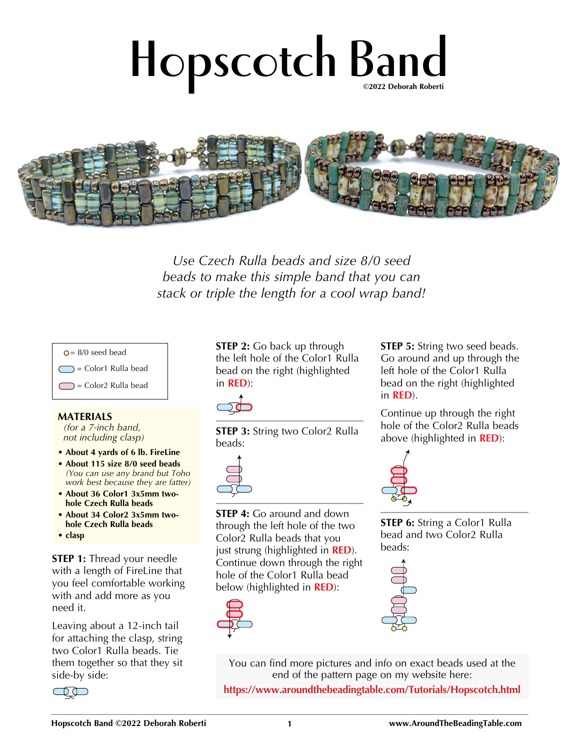## **Hopscotch Band ©2022 Deborah Roberti**



*Use Czech Rulla beads and size 8/0 seed beads to make this simple band that you can stack or triple the length for a cool wrap band!*



## **MATERIALS**

*(for a 7-inch band, not including clasp)*

- **About 4 yards of 6 lb. FireLine**
- **About 115 size 8/0 seed beads**  *(You can use any brand but Toho work best because they are fatter)*
- **About 36 Color1 3x5mm twohole Czech Rulla beads**
- **About 34 Color2 3x5mm twohole Czech Rulla beads**
- **clasp**

**STEP 1:** Thread your needle with a length of FireLine that you feel comfortable working with and add more as you need it.

Leaving about a 12-inch tail for attaching the clasp, string two Color1 Rulla beads. Tie them together so that they sit side-by side:



**STEP 2:** Go back up through the left hole of the Color1 Rulla bead on the right (highlighted in **RED**):



**STEP 3:** String two Color2 Rulla beads:



**STEP 4:** Go around and down through the left hole of the two Color2 Rulla beads that you just strung (highlighted in **RED**). Continue down through the right hole of the Color1 Rulla bead below (highlighted in **RED**):



**STEP 5:** String two seed beads. Go around and up through the left hole of the Color1 Rulla bead on the right (highlighted in **RED**).

Continue up through the right hole of the Color2 Rulla beads above (highlighted in **RED**):



**STEP 6:** String a Color1 Rulla bead and two Color2 Rulla beads:



You can find more pictures and info on exact beads used at the end of the pattern page on my website here:

**https://www.aroundthebeadingtable.com/Tutorials/Hopscotch.html**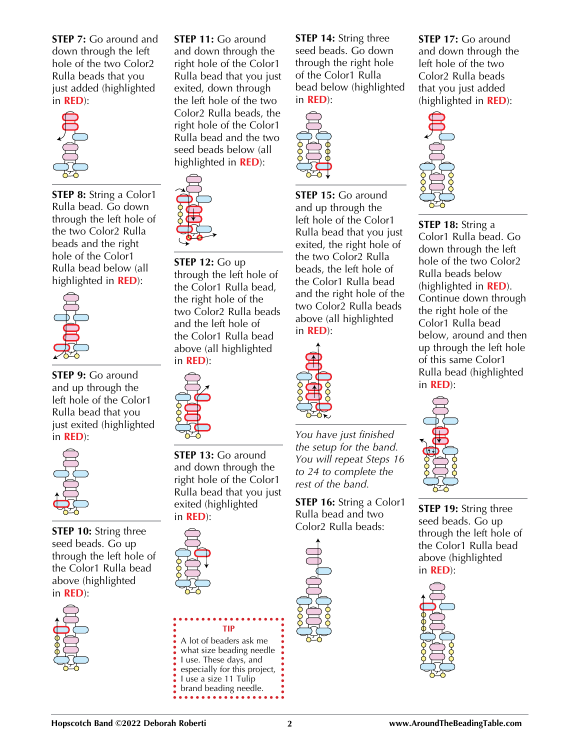**STEP 7:** Go around and down through the left hole of the two Color2 Rulla beads that you just added (highlighted in **RED**):



**STEP 8:** String a Color1 Rulla bead. Go down through the left hole of the two Color2 Rulla beads and the right hole of the Color1 Rulla bead below (all highlighted in **RED**):



**STEP 9:** Go around and up through the left hole of the Color1 Rulla bead that you just exited (highlighted in **RED**):



**STEP 10:** String three seed beads. Go up through the left hole of the Color1 Rulla bead above (highlighted in **RED**):



**STEP 11:** Go around and down through the right hole of the Color1 Rulla bead that you just exited, down through the left hole of the two Color2 Rulla beads, the right hole of the Color1 Rulla bead and the two seed beads below (all highlighted in **RED**):



**STEP 12:** Go up through the left hole of the Color1 Rulla bead, the right hole of the two Color2 Rulla beads and the left hole of the Color1 Rulla bead above (all highlighted in **RED**):



**STEP 13:** Go around and down through the right hole of the Color1 Rulla bead that you just exited (highlighted in **RED**):



**STEP 14:** String three seed beads. Go down through the right hole of the Color1 Rulla bead below (highlighted in **RED**):



**STEP 15:** Go around and up through the left hole of the Color1 Rulla bead that you just exited, the right hole of the two Color2 Rulla beads, the left hole of the Color1 Rulla bead and the right hole of the two Color2 Rulla beads above (all highlighted in **RED**):



*You have just finished the setup for the band. You will repeat Steps 16 to 24 to complete the rest of the band.*

**STEP 16:** String a Color1 Rulla bead and two Color2 Rulla beads:



**STEP 17:** Go around and down through the left hole of the two Color2 Rulla beads that you just added (highlighted in **RED**):



**STEP 18:** String a Color1 Rulla bead. Go down through the left hole of the two Color2 Rulla beads below (highlighted in **RED**). Continue down through the right hole of the Color1 Rulla bead below, around and then up through the left hole of this same Color1 Rulla bead (highlighted in **RED**):



**STEP 19:** String three seed beads. Go up through the left hole of the Color1 Rulla bead above (highlighted in **RED**):



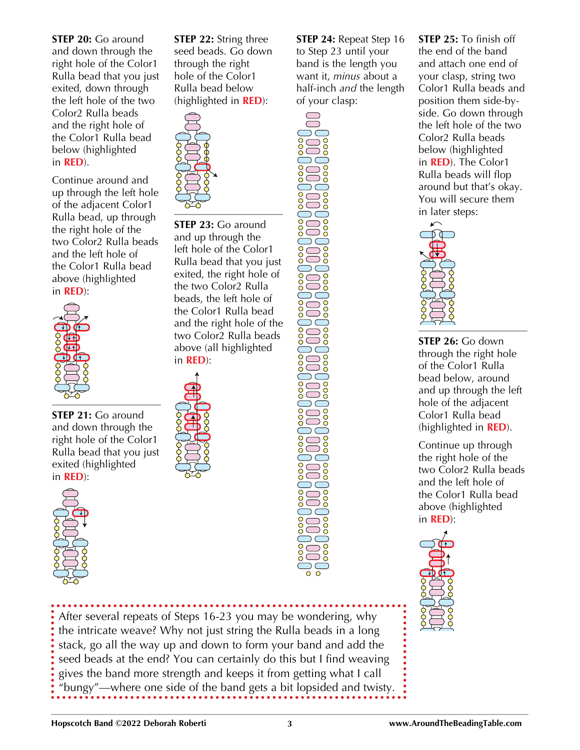**STEP 20:** Go around and down through the right hole of the Color1 Rulla bead that you just exited, down through the left hole of the two Color2 Rulla beads and the right hole of the Color1 Rulla bead below (highlighted in **RED**).

Continue around and up through the left hole of the adjacent Color1 Rulla bead, up through the right hole of the two Color2 Rulla beads and the left hole of the Color1 Rulla bead above (highlighted in **RED**):



**STEP 21:** Go around and down through the right hole of the Color1 Rulla bead that you just exited (highlighted in **RED**):



**STEP 22:** String three seed beads. Go down through the right hole of the Color1 Rulla bead below (highlighted in **RED**):



**STEP 23:** Go around and up through the left hole of the Color1 Rulla bead that you just exited, the right hole of the two Color2 Rulla beads, the left hole of the Color1 Rulla bead and the right hole of the two Color2 Rulla beads above (all highlighted in **RED**):



**STEP 24:** Repeat Step 16 to Step 23 until your band is the length you want it, *minus* about a half-inch *and* the length of your clasp:

**STEP 25:** To finish off the end of the band and attach one end of your clasp, string two Color1 Rulla beads and position them side-byside. Go down through the left hole of the two Color2 Rulla beads below (highlighted in **RED**). The Color1 Rulla beads will flop around but that's okay. You will secure them in later steps:



**STEP 26:** Go down through the right hole of the Color1 Rulla bead below, around and up through the left hole of the adjacent Color1 Rulla bead (highlighted in **RED**).

Continue up through the right hole of the two Color2 Rulla beads and the left hole of the Color1 Rulla bead above (highlighted in **RED**):



After several repeats of Steps 16-23 you may be wondering, why the intricate weave? Why not just string the Rulla beads in a long stack, go all the way up and down to form your band and add the seed beads at the end? You can certainly do this but I find weaving gives the band more strength and keeps it from getting what I call "bungy"—where one side of the band gets a bit lopsided and twisty.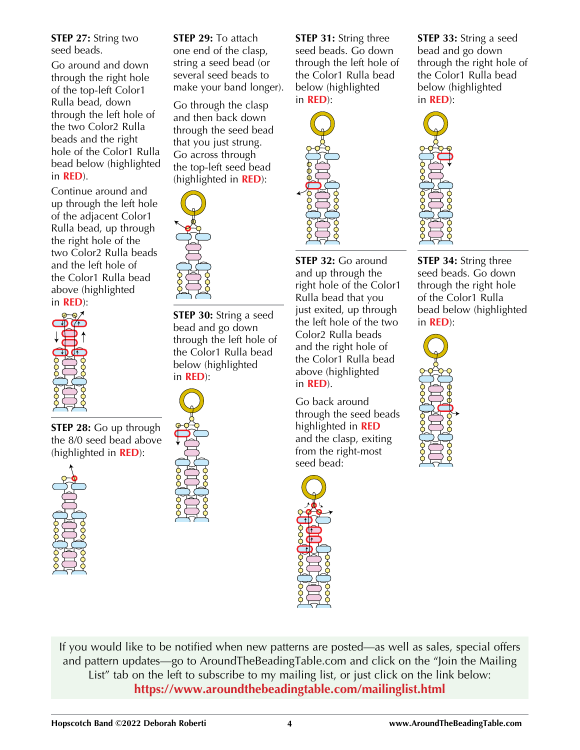**STEP 27:** String two seed beads.

Go around and down through the right hole of the top-left Color1 Rulla bead, down through the left hole of the two Color2 Rulla beads and the right hole of the Color1 Rulla bead below (highlighted in **RED**).

Continue around and up through the left hole of the adjacent Color1 Rulla bead, up through the right hole of the two Color2 Rulla beads and the left hole of the Color1 Rulla bead above (highlighted in **RED**):



**STEP 28:** Go up through the 8/0 seed bead above (highlighted in **RED**):



**STEP 29:** To attach one end of the clasp, string a seed bead (or several seed beads to make your band longer).

Go through the clasp and then back down through the seed bead that you just strung. Go across through the top-left seed bead (highlighted in **RED**):



**STEP 30:** String a seed bead and go down through the left hole of the Color1 Rulla bead below (highlighted in **RED**):



**STEP 31:** String three seed beads. Go down through the left hole of the Color1 Rulla bead below (highlighted in **RED**):



**STEP 32:** Go around and up through the right hole of the Color1 Rulla bead that you just exited, up through the left hole of the two Color2 Rulla beads and the right hole of the Color1 Rulla bead above (highlighted in **RED**).

Go back around through the seed beads highlighted in **RED** and the clasp, exiting from the right-most seed bead:



**STEP 33:** String a seed bead and go down through the right hole of the Color1 Rulla bead below (highlighted in **RED**):



**STEP 34:** String three seed beads. Go down through the right hole of the Color1 Rulla bead below (highlighted in **RED**):



If you would like to be notified when new patterns are posted—as well as sales, special offers and pattern updates—go to AroundTheBeadingTable.com and click on the "Join the Mailing List" tab on the left to subscribe to my mailing list, or just click on the link below: **https://www.aroundthebeadingtable.com/mailinglist.html**